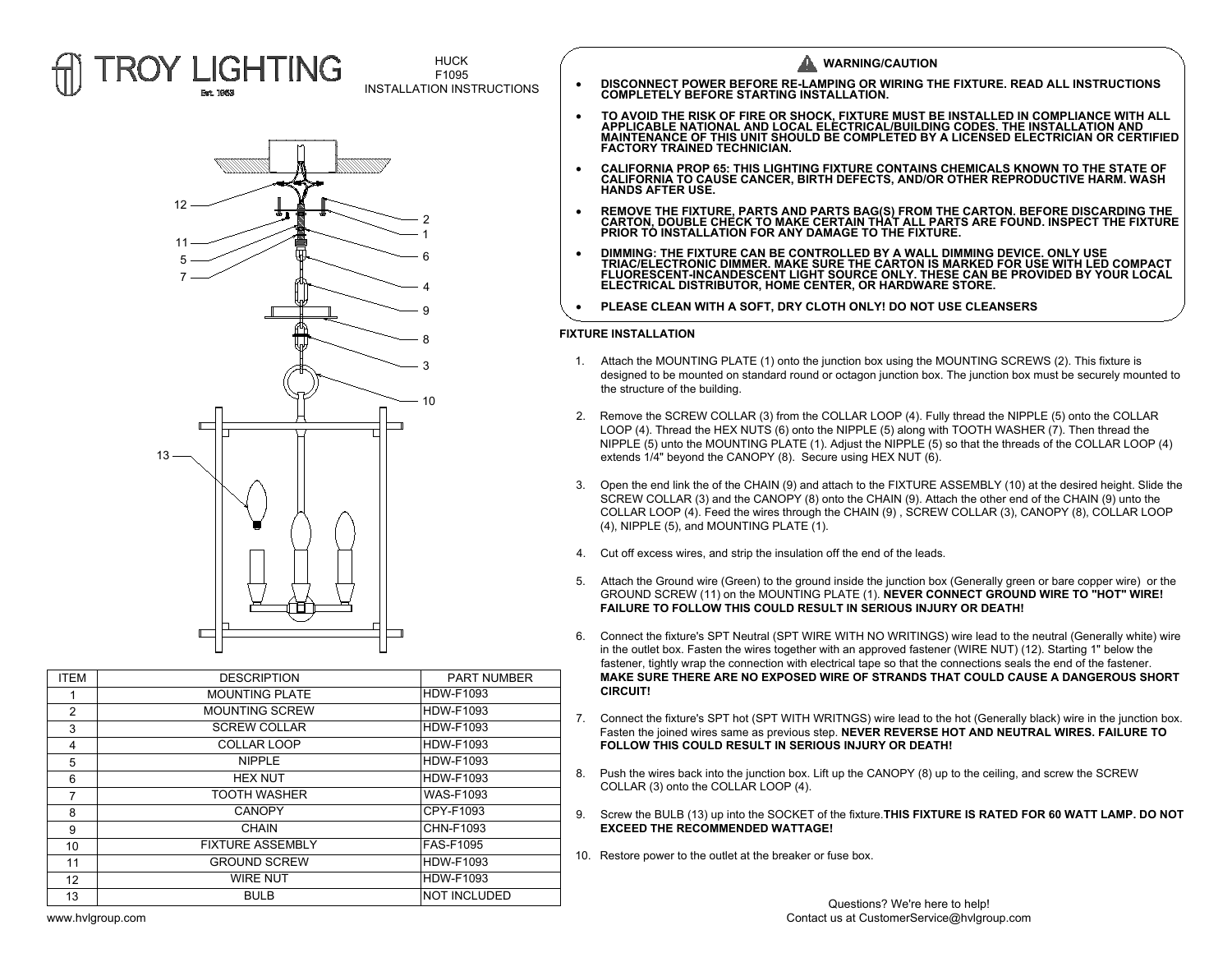

**HUCK** F1095



| <b>ITEM</b> | <b>DESCRIPTION</b>      | <b>PART NUMBER</b>  |
|-------------|-------------------------|---------------------|
| 1           | <b>MOUNTING PLATE</b>   | <b>HDW-F1093</b>    |
| 2           | <b>MOUNTING SCREW</b>   | <b>HDW-F1093</b>    |
| 3           | <b>SCREW COLLAR</b>     | <b>HDW-F1093</b>    |
| 4           | COLLAR LOOP             | <b>HDW-F1093</b>    |
| 5           | <b>NIPPLE</b>           | <b>HDW-F1093</b>    |
| 6           | <b>HEX NUT</b>          | <b>HDW-F1093</b>    |
| 7           | <b>TOOTH WASHER</b>     | <b>WAS-F1093</b>    |
| 8           | <b>CANOPY</b>           | CPY-F1093           |
| 9           | CHAIN                   | CHN-F1093           |
| 10          | <b>FIXTURE ASSEMBLY</b> | FAS-F1095           |
| 11          | <b>GROUND SCREW</b>     | <b>HDW-F1093</b>    |
| 12          | <b>WIRE NUT</b>         | <b>HDW-F1093</b>    |
| 13          | <b>BULB</b>             | <b>NOT INCLUDED</b> |

- HUCK<br>
F1095<br>INSTALLATION INSTRUCTIONS **DISCONNECT POWER BEFORE RE-LAMPING OR WIRING THE FIXTURE. READ ALL INSTRUCTIONS**<br>**COMPLETELY BEFORE STARTING INSTALLATION.** 
	- → DISCONNECT POWER BEFORE RE-LAMPING OR WIRING THE FIXTURE. READ ALL INSTRUCTIONS<br>COMPLETELY BEFORE STARTING INSTALLATION.<br>• TO AVOID THE RISK OF FIRE OR SHOCK, FIXTURE MUST BE INSTALLED IN COMPLIANCE WITH ALL<br>MAINTENANCE MAINTENANCE OF THIS UNIT SHOULD BE COMPLETED BY A LICENSED ELECTRICIAN OR CERTIFIED<br>FACTORY TRAINED TECHNICIAN. • TO AVOID THE RISK OF FIRE OR SHOCK, FIXTURE MUST BE INSTALLED IN COMPLIANCE WITH ALI<br>APPLICABLE NATIONAL AND LOCAL ELECTRICAL/BUILDING CODES. THE INSTALLATION AND<br>MAINTENANCE OF THIS UNIT SHOULD BE COMPLETED BY A LICENSE
	- CALIFORNIA PROP 65: THIS LIGHTING FIXTURE CONTAINS CHEMICALS KNOWN TO THE STATE OF<br>CALIFORNIA TO CAUSE CANCER, BIRTH DEFECTS, AND/OR OTHER REPRODUCTIVE HARM. WASH<br>HANDS AFTER USE. · **REMOVE THE FIXTURE, PARTS AND PARTS BAG(S) FROM THE CARTON. BEFORE DISCARDING THE CARTON, DOUBLE CHECK TO MAKE CERTAIN THAT ALL PARTS ARE FOUND. INSPECT THE FIXTURE PRIOR TO INSTALLATION FOR ANY DAMAGE TO THE FIXTURE.**
	- REMOVE THE FIXTURE, PARTS AND PARTS BAG(S) FROM THE CARTON. BEFORE DISCARDING THE<br>CARTON, DOUBLE CHECK TO MAKE CERTAIN THAT ALL PARTS ARE FOUND. INSPECT THE FIXTUR<br>PRIOR TO INSTALLATION FOR ANY DAMAGE TO THE FIXTURE.<br>TRI
	- CARTON, DOUBLE CHECK TO MAKE CERTAIN THAT ALL PARTS ARE FOUND. INSPECT THE FIXTUR<br>PRIOR TO INSTALLATION FOR ANY DAMAGE TO THE FIXTURE.<br>DIMMING: THE FIXTURE CAN BE CONTROLLED BY A WALL DIMMING DEVICE. ONLY USE<br>TRIAC/ELECTRO • DIMMING: THE FIXTURE CAN BE CONTROLLED BY A WALL DIMMING DEVICE<br>TRIAC/ELECTRONIC DIMMER. MAKE SURE THE CARTON IS MARKED FOR US<br>FLUORESCENT-INCANDESCENT LIGHT SOURCE ONLY. THESE CAN BE PRO<br>ELECTRICAL DISTRIBUTOR, HOME CEN
	-

- 
- 
- 
- 
- 
- 
- 
- 
- 
-